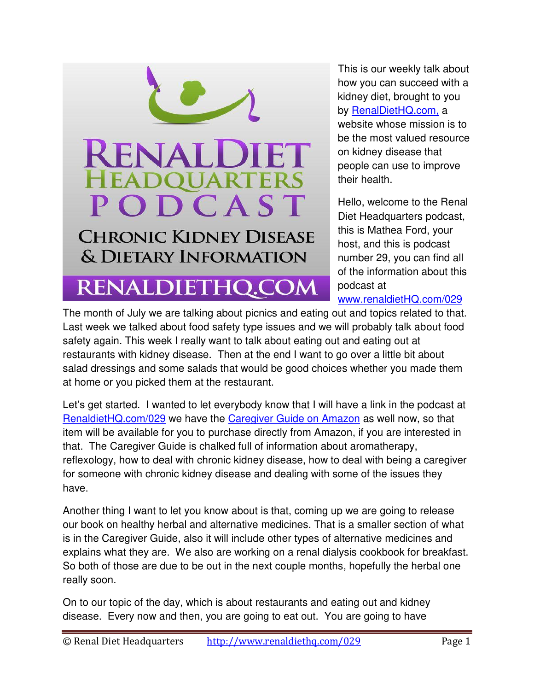

This is our weekly talk about how you can succeed with a kidney diet, brought to you by [RenalDietHQ.com,](http://www.renaldiethq.com/) a website whose mission is to be the most valued resource on kidney disease that people can use to improve their health.

Hello, welcome to the Renal Diet Headquarters podcast, this is Mathea Ford, your host, and this is podcast number 29, you can find all of the information about this podcast at

[www.renaldietHQ.com/029](http://www.renaldiethq.com/029) 

The month of July we are talking about picnics and eating out and topics related to that. Last week we talked about food safety type issues and we will probably talk about food safety again. This week I really want to talk about eating out and eating out at restaurants with kidney disease. Then at the end I want to go over a little bit about salad dressings and some salads that would be good choices whether you made them at home or you picked them at the restaurant.

Let's get started. I wanted to let everybody know that I will have a link in the podcast at [RenaldietHQ.com/029](http://www.renaldiethq.com/029) we have the [Caregiver Guide on Amazon](http://www.amazon.com/Headquarters-Disease-Patients-Educational-Worksheets/dp/B00LZ2ICPW/ref=sr_1_1?ie=UTF8&qid=1407012297&sr=8-1&keywords=renal+disease+caregiver) as well now, so that item will be available for you to purchase directly from Amazon, if you are interested in that. The Caregiver Guide is chalked full of information about aromatherapy, reflexology, how to deal with chronic kidney disease, how to deal with being a caregiver for someone with chronic kidney disease and dealing with some of the issues they have.

Another thing I want to let you know about is that, coming up we are going to release our book on healthy herbal and alternative medicines. That is a smaller section of what is in the Caregiver Guide, also it will include other types of alternative medicines and explains what they are. We also are working on a renal dialysis cookbook for breakfast. So both of those are due to be out in the next couple months, hopefully the herbal one really soon.

On to our topic of the day, which is about restaurants and eating out and kidney disease. Every now and then, you are going to eat out. You are going to have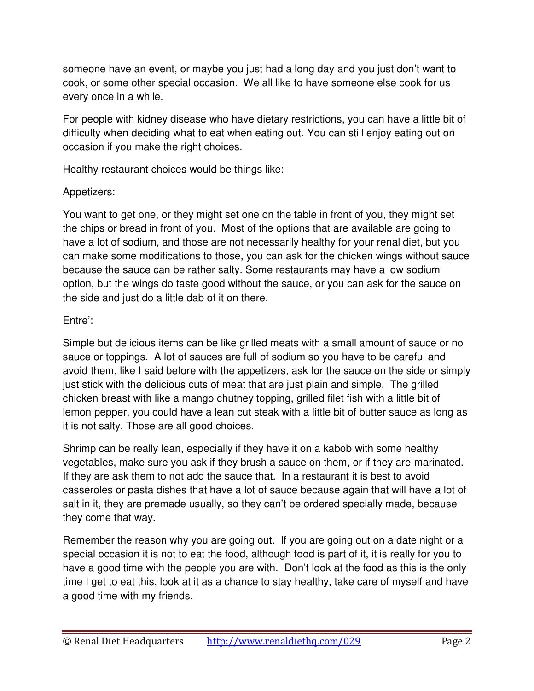someone have an event, or maybe you just had a long day and you just don't want to cook, or some other special occasion. We all like to have someone else cook for us every once in a while.

For people with kidney disease who have dietary restrictions, you can have a little bit of difficulty when deciding what to eat when eating out. You can still enjoy eating out on occasion if you make the right choices.

Healthy restaurant choices would be things like:

# Appetizers:

You want to get one, or they might set one on the table in front of you, they might set the chips or bread in front of you. Most of the options that are available are going to have a lot of sodium, and those are not necessarily healthy for your renal diet, but you can make some modifications to those, you can ask for the chicken wings without sauce because the sauce can be rather salty. Some restaurants may have a low sodium option, but the wings do taste good without the sauce, or you can ask for the sauce on the side and just do a little dab of it on there.

# Entre':

Simple but delicious items can be like grilled meats with a small amount of sauce or no sauce or toppings. A lot of sauces are full of sodium so you have to be careful and avoid them, like I said before with the appetizers, ask for the sauce on the side or simply just stick with the delicious cuts of meat that are just plain and simple. The grilled chicken breast with like a mango chutney topping, grilled filet fish with a little bit of lemon pepper, you could have a lean cut steak with a little bit of butter sauce as long as it is not salty. Those are all good choices.

Shrimp can be really lean, especially if they have it on a kabob with some healthy vegetables, make sure you ask if they brush a sauce on them, or if they are marinated. If they are ask them to not add the sauce that. In a restaurant it is best to avoid casseroles or pasta dishes that have a lot of sauce because again that will have a lot of salt in it, they are premade usually, so they can't be ordered specially made, because they come that way.

Remember the reason why you are going out. If you are going out on a date night or a special occasion it is not to eat the food, although food is part of it, it is really for you to have a good time with the people you are with. Don't look at the food as this is the only time I get to eat this, look at it as a chance to stay healthy, take care of myself and have a good time with my friends.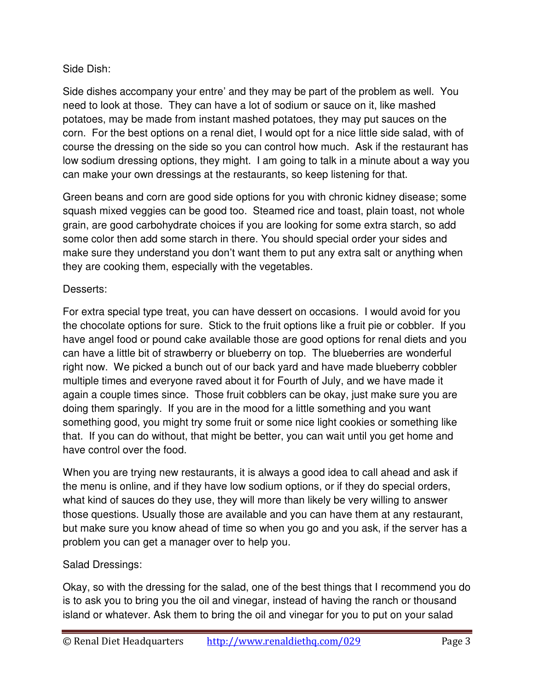## Side Dish:

Side dishes accompany your entre' and they may be part of the problem as well. You need to look at those. They can have a lot of sodium or sauce on it, like mashed potatoes, may be made from instant mashed potatoes, they may put sauces on the corn. For the best options on a renal diet, I would opt for a nice little side salad, with of course the dressing on the side so you can control how much. Ask if the restaurant has low sodium dressing options, they might. I am going to talk in a minute about a way you can make your own dressings at the restaurants, so keep listening for that.

Green beans and corn are good side options for you with chronic kidney disease; some squash mixed veggies can be good too. Steamed rice and toast, plain toast, not whole grain, are good carbohydrate choices if you are looking for some extra starch, so add some color then add some starch in there. You should special order your sides and make sure they understand you don't want them to put any extra salt or anything when they are cooking them, especially with the vegetables.

## Desserts:

For extra special type treat, you can have dessert on occasions. I would avoid for you the chocolate options for sure. Stick to the fruit options like a fruit pie or cobbler. If you have angel food or pound cake available those are good options for renal diets and you can have a little bit of strawberry or blueberry on top. The blueberries are wonderful right now. We picked a bunch out of our back yard and have made blueberry cobbler multiple times and everyone raved about it for Fourth of July, and we have made it again a couple times since. Those fruit cobblers can be okay, just make sure you are doing them sparingly. If you are in the mood for a little something and you want something good, you might try some fruit or some nice light cookies or something like that. If you can do without, that might be better, you can wait until you get home and have control over the food.

When you are trying new restaurants, it is always a good idea to call ahead and ask if the menu is online, and if they have low sodium options, or if they do special orders, what kind of sauces do they use, they will more than likely be very willing to answer those questions. Usually those are available and you can have them at any restaurant, but make sure you know ahead of time so when you go and you ask, if the server has a problem you can get a manager over to help you.

# Salad Dressings:

Okay, so with the dressing for the salad, one of the best things that I recommend you do is to ask you to bring you the oil and vinegar, instead of having the ranch or thousand island or whatever. Ask them to bring the oil and vinegar for you to put on your salad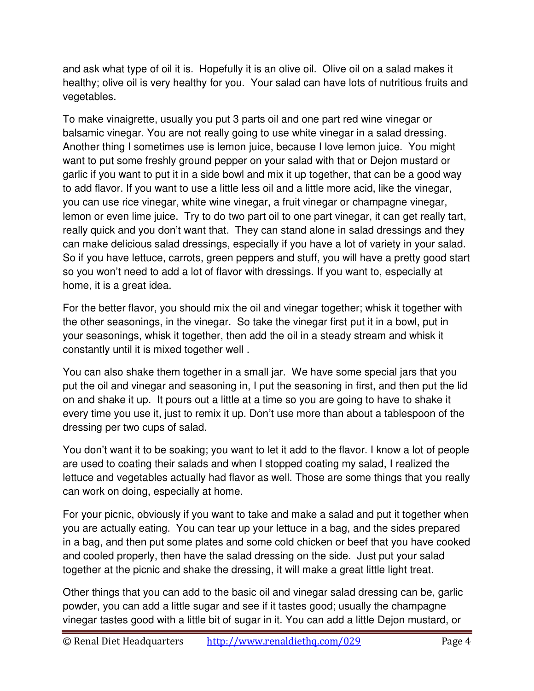and ask what type of oil it is. Hopefully it is an olive oil. Olive oil on a salad makes it healthy; olive oil is very healthy for you. Your salad can have lots of nutritious fruits and vegetables.

To make vinaigrette, usually you put 3 parts oil and one part red wine vinegar or balsamic vinegar. You are not really going to use white vinegar in a salad dressing. Another thing I sometimes use is lemon juice, because I love lemon juice. You might want to put some freshly ground pepper on your salad with that or Dejon mustard or garlic if you want to put it in a side bowl and mix it up together, that can be a good way to add flavor. If you want to use a little less oil and a little more acid, like the vinegar, you can use rice vinegar, white wine vinegar, a fruit vinegar or champagne vinegar, lemon or even lime juice. Try to do two part oil to one part vinegar, it can get really tart, really quick and you don't want that. They can stand alone in salad dressings and they can make delicious salad dressings, especially if you have a lot of variety in your salad. So if you have lettuce, carrots, green peppers and stuff, you will have a pretty good start so you won't need to add a lot of flavor with dressings. If you want to, especially at home, it is a great idea.

For the better flavor, you should mix the oil and vinegar together; whisk it together with the other seasonings, in the vinegar. So take the vinegar first put it in a bowl, put in your seasonings, whisk it together, then add the oil in a steady stream and whisk it constantly until it is mixed together well .

You can also shake them together in a small jar. We have some special jars that you put the oil and vinegar and seasoning in, I put the seasoning in first, and then put the lid on and shake it up. It pours out a little at a time so you are going to have to shake it every time you use it, just to remix it up. Don't use more than about a tablespoon of the dressing per two cups of salad.

You don't want it to be soaking; you want to let it add to the flavor. I know a lot of people are used to coating their salads and when I stopped coating my salad, I realized the lettuce and vegetables actually had flavor as well. Those are some things that you really can work on doing, especially at home.

For your picnic, obviously if you want to take and make a salad and put it together when you are actually eating. You can tear up your lettuce in a bag, and the sides prepared in a bag, and then put some plates and some cold chicken or beef that you have cooked and cooled properly, then have the salad dressing on the side. Just put your salad together at the picnic and shake the dressing, it will make a great little light treat.

Other things that you can add to the basic oil and vinegar salad dressing can be, garlic powder, you can add a little sugar and see if it tastes good; usually the champagne vinegar tastes good with a little bit of sugar in it. You can add a little Dejon mustard, or